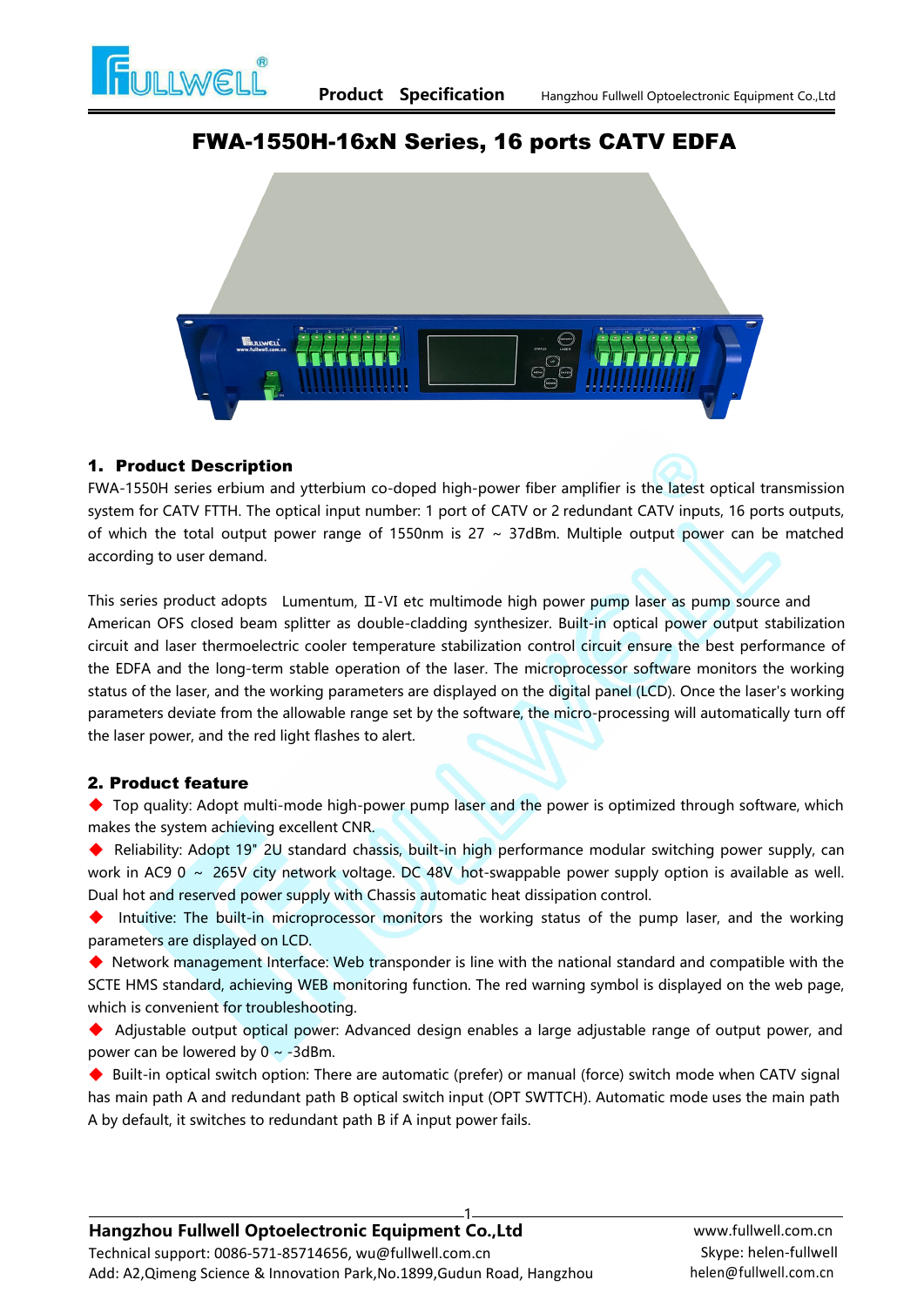

# FWA-1550H-16xN Series, 16 ports CATV EDFA

## 1. Product Description

FWA-1550H series erbium and ytterbium co-doped high-power fiber amplifier is the latest optical transmission system for CATV FTTH. The optical input number: 1 port of CATV or 2 redundant CATV inputs, 16 ports outputs, of which the total output power range of 1550nm is  $27 \sim 37$ dBm. Multiple output power can be matched according to user demand. This series product **Description**<br>This series erbium and ytterbium co-doped high-power fiber amplifier is the latest optical transmission<br>system for CATV FTTH. The optical input number: 1 port of CATV or 2 redundant CATV i

American OFS closed beam splitter as double-cladding synthesizer. Built-in optical power output stabilization circuit and laser thermoelectric cooler temperature stabilization control circuit ensure the best performance of the EDFA and the long-term stable operation of the laser. The microprocessor software monitors the working status of the laser, and the working parameters are displayed on the digital panel (LCD). Once the laser's working parameters deviate from the allowable range set by the software, the micro-processing will automatically turn off the laser power, and the red light flashes to alert. the EDFA and the long-term stable operation of the laser. The microprocessor software monitors the working<br>status of the laser, and the working parameters are displayed on the digital panel (LCD). Once the laser's working

## 2. Product feature

◆ Top quality: Adopt multi-mode high-power pump laser and the power is optimized through software, which makes the system achieving excellent CNR.

◆ Reliability: Adopt 19" 2U standard chassis, built-in high performance modular switching power supply, can

Intuitive: The built-in microprocessor monitors the working status of the pump laser, and the working parameters are displayed on LCD.

◆ Network management Interface: Web transponder is line with the national standard and compatible with the SCTE HMS standard, achieving WEB monitoring function. The red warning symbol is displayed on the web page, which is convenient for troubleshooting.

◆ Adjustable output optical power: Advanced design enables a large adjustable range of output power, and power can be lowered by  $0 \sim -3$ dBm.

◆ Built-in optical switch option: There are automatic (prefer) or manual (force) switch mode when CATV signal has main path A and redundant path B optical switch input (OPT SWTTCH). Automatic mode uses the main path A by default, it switches to redundant path B if A input power fails.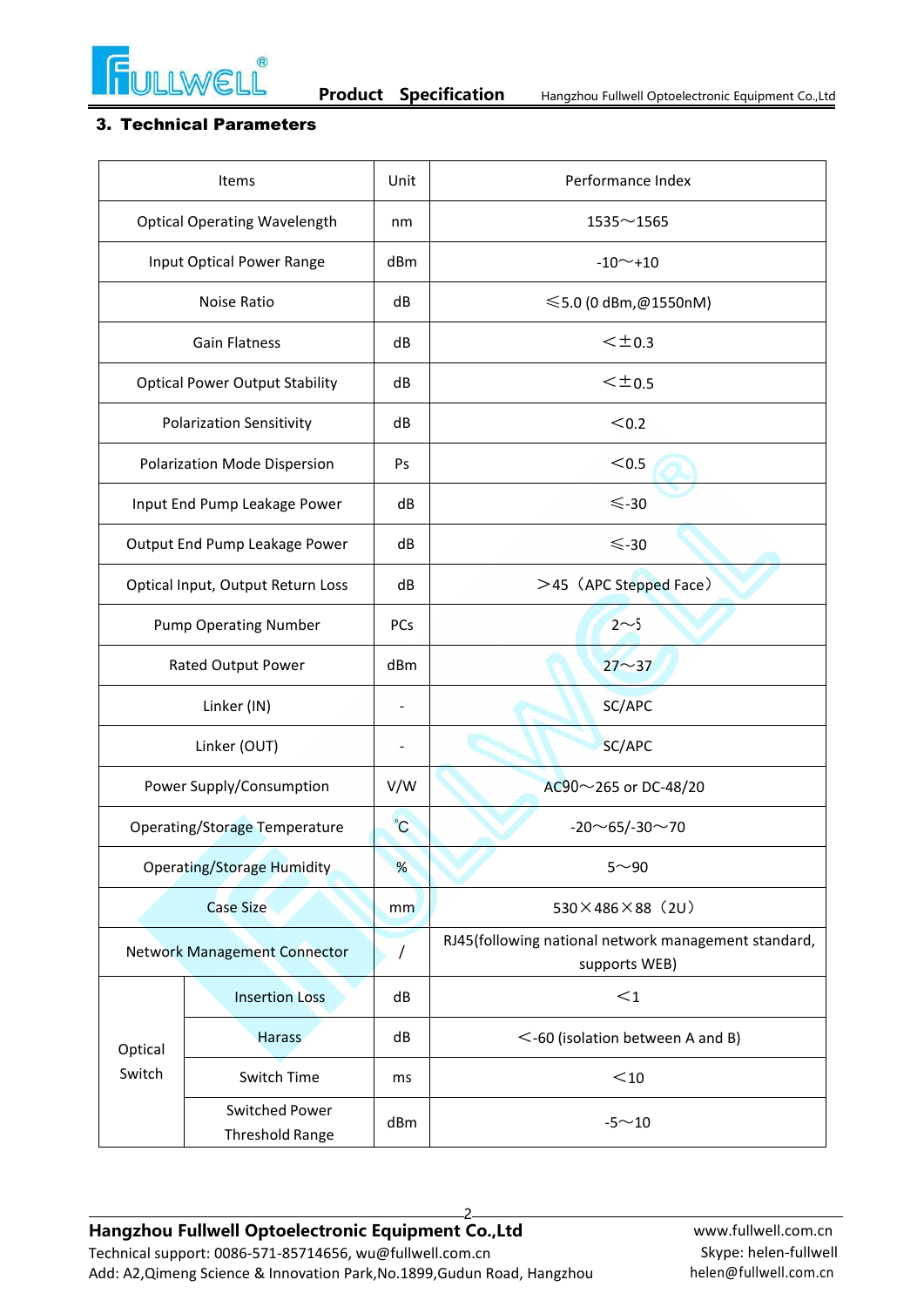

#### 3. Technical Parameters

| Items                                 |                                          | Unit           | Performance Index                                                     |  |  |
|---------------------------------------|------------------------------------------|----------------|-----------------------------------------------------------------------|--|--|
| <b>Optical Operating Wavelength</b>   |                                          | nm             | $1535 - 1565$                                                         |  |  |
| Input Optical Power Range             |                                          | dBm            | $-10$ $-$ +10                                                         |  |  |
| Noise Ratio                           |                                          | dB             | $≤$ 5.0 (0 dBm,@1550nM)                                               |  |  |
| <b>Gain Flatness</b>                  |                                          | dB             | $<$ $\pm$ 0.3                                                         |  |  |
| <b>Optical Power Output Stability</b> |                                          | dB             | $<$ $\pm$ 0.5                                                         |  |  |
| <b>Polarization Sensitivity</b>       |                                          | dB             | < 0.2                                                                 |  |  |
| Polarization Mode Dispersion          |                                          | Ps             | $0.5$                                                                 |  |  |
| Input End Pump Leakage Power          |                                          | dB             | $< 30$                                                                |  |  |
| Output End Pump Leakage Power         |                                          | dB             | $< 30$                                                                |  |  |
| Optical Input, Output Return Loss     |                                          | dB             | >45 (APC Stepped Face)                                                |  |  |
| <b>Pump Operating Number</b>          |                                          | PCs            | $2 \sim 5$                                                            |  |  |
| Rated Output Power                    |                                          | dBm            | $27 - 37$                                                             |  |  |
|                                       | Linker (IN)                              |                | SC/APC                                                                |  |  |
| Linker (OUT)                          |                                          | $\blacksquare$ | SC/APC                                                                |  |  |
|                                       | Power Supply/Consumption                 |                | AC90~265 or DC-48/20                                                  |  |  |
| <b>Operating/Storage Temperature</b>  |                                          | $\mathcal{C}$  | $-20$ ~65/-30~70                                                      |  |  |
| <b>Operating/Storage Humidity</b>     |                                          | %              | $5 - 90$                                                              |  |  |
| <b>Case Size</b>                      |                                          | mm             | $530 \times 486 \times 88$ (2U)                                       |  |  |
| <b>Network Management Connector</b>   |                                          | $\prime$       | RJ45(following national network management standard,<br>supports WEB) |  |  |
|                                       | <b>Insertion Loss</b>                    | dB             | $<$ 1                                                                 |  |  |
| Optical<br>Switch                     | <b>Harass</b>                            | dB             | $<$ -60 (isolation between A and B)                                   |  |  |
|                                       | Switch Time                              | ms             | $10$                                                                  |  |  |
|                                       | Switched Power<br><b>Threshold Range</b> | dBm            | $-5 \sim 10$                                                          |  |  |

2 **Hangzhou Fullwell Optoelectronic Equipment Co.,Ltd** Technical support: 0086-571-85714656, [wu@fullwell.com.cn](mailto:wu@fullwell.com.cn) Add: A2,Qimeng Science & Innovation Park,No.1899,Gudun Road, Hangzhou

[www.fullwell.com.cn](http://www.fullwell.com.cn/) Skype: helen-fullwel[l](mailto:helen@fullwell.com.cn) helen@fullwell.com.cn